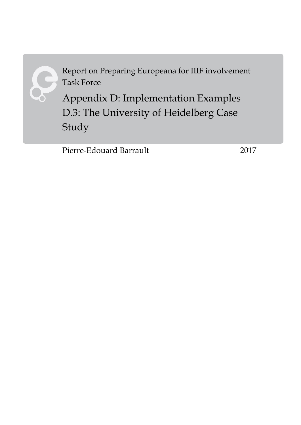

Report on Preparing Europeana for IIIF involvement Task Force

Appendix D: Implementation Examples D.3: The University of Heidelberg Case Study

Pierre-Edouard Barrault 2017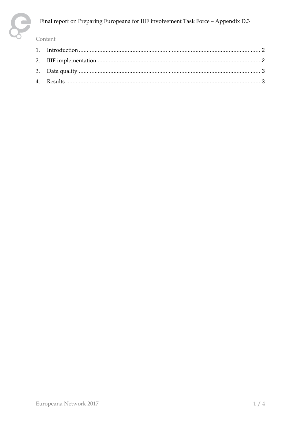

#### Final report on Preparing Europeana for IIIF involvement Task Force - Appendix D.3

#### Content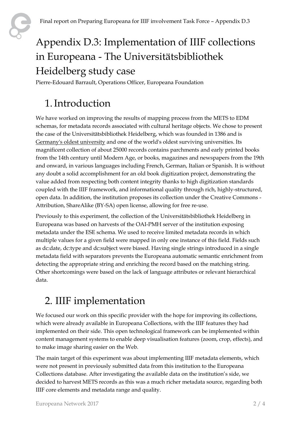

# Appendix D.3: Implementation of IIIF collections in Europeana - The Universitätsbibliothek Heidelberg study case

<span id="page-2-0"></span>Pierre-Edouard Barrault, Operations Officer, Europeana Foundation

#### 1.Introduction

We have worked on improving the results of mapping process from the METS to EDM schemas, for metadata records associated with cultural heritage objects. We chose to present the case of the Universitätsbibliothek Heidelberg, which was founded in 1386 and is [Germany's oldest university](https://en.wikipedia.org/wiki/List_of_universities_in_Germany#Universities_by_years_of_existence) and one of the world's oldest surviving universities. Its magnificent collection of about 25000 records contains parchments and early printed books from the 14th century until Modern Age, or books, magazines and newspapers from the 19th and onward, in various languages including French, German, Italian or Spanish. It is without any doubt a solid accomplishment for an old book digitization project, demonstrating the value added from respecting both content integrity thanks to high digitization standards coupled with the IIIF framework, and informational quality through rich, highly-structured, open data. In addition, the institution proposes its collection under the Creative Commons - Attribution, ShareAlike (BY-SA) open license, allowing for free re-use.

Previously to this experiment, the collection of the Universitätsbibliothek Heidelberg in Europeana was based on harvests of the OAI-PMH server of the institution exposing metadata under the ESE schema. We used to receive limited metadata records in which multiple values for a given field were mapped in only one instance of this field. Fields such as dc:date, dc:type and dc:subject were biased. Having single strings introduced in a single metadata field with separators prevents the Europeana automatic semantic enrichment from detecting the appropriate string and enriching the record based on the matching string. Other shortcomings were based on the lack of language attributes or relevant hierarchical data.

### <span id="page-2-1"></span>2. IIIF implementation

We focused our work on this specific provider with the hope for improving its collections, which were already available in Europeana Collections, with the IIIF features they had implemented on their side. This open technological framework can be implemented within content management systems to enable deep visualisation features (zoom, crop, effects), and to make image sharing easier on the Web.

The main target of this experiment was about implementing IIIF metadata elements, which were not present in previously submitted data from this institution to the Europeana Collections database. After investigating the available data on the institution's side, we decided to harvest METS records as this was a much richer metadata source, regarding both IIIF core elements and metadata range and quality.